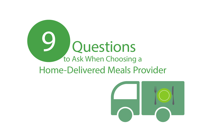

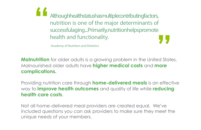Although health status has multiple contributing factors, nutrition is one of the major determinants of successful aging...Primarily, nutrition helps promote health and functionality. **" "**

-Academy of Nutrition and Dietetics

**Malnutrition** for older adults is a growing problem in the United States. Malnourished older adults have **higher medical costs** and **more complications.**

Providing nutrition care through **home-delivered meals** is an effective way to **improve health outcomes** and quality of life while **reducing health care costs**.

Not all home-delivered meal providers are created equal. We've included questions you can ask providers to make sure they meet the unique needs of your members.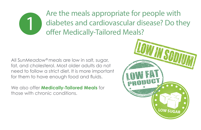

Are the meals appropriate for people with diabetes and cardiovascular disease? Do they offer Medically-Tailored Meals?

All S*unMeadow®* meals are low in salt, sugar, fat, and cholesterol. Most older adults do not need to follow a strict diet. It is more important for them to have enough food and fluids.

We also offer **Medically-Tailored Meals** for those with chronic conditions.

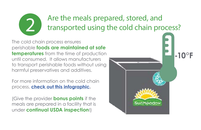# **2** Are the meals prepared, stored, and transported using the cold chain pro transported using the cold chain process?

The cold chain process ensures perishable **foods are maintained at safe temperatures** from the time of production until consumed. It allows manufacturers to transport perishable foods without using harmful preservatives and additives.

For more information on the cold chain process, **check out this infographic.**

(Give the provider **bonus points** if the meals are prepared in a facility that is under **continual USDA inspection**!)

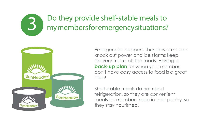#### Do they provide shelf-stable meals to my members for emergency situations? 3



Emergencies happen. Thunderstorms can knock out power and ice storms keep delivery trucks off the roads. Having a **back-up plan** for when your members don't have easy access to food is a great idea!

Shelf-stable meals do not need refrigeration, so they are convenient meals for members keep in their pantry, so they stay nourished!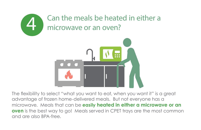



The flexibility to select "what you want to eat, when you want it" is a great advantage of frozen home-delivered meals. But not everyone has a microwave. Meals that can be **easily heated in either a microwave or an oven** is the best way to go! Meals served in CPET trays are the most common and are also BPA-free.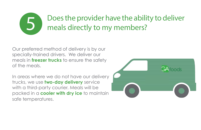#### Does the provider have the ability to deliver meals directly to my members? 5

Our preferred method of delivery is by our specially-trained drivers. We deliver our meals in **freezer trucks** to ensure the safety of the meals.

In areas where we do not have our delivery trucks, we use **two-day delivery** service with a third-party courier. Meals will be packed in a **cooler with dry ice** to maintain safe temperatures.

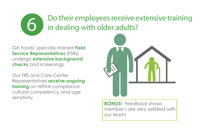## **6 Do their employees receive extensive training** in dealing with older adults?

GA Foods' specially-trained **Field Service Representatives** (FSRs) undergo **extensive background checks** and screenings.

Our FRS and Care Center Representatives **receive ongoing training** on HIPAA compliance, cultural competency, and age sensitivity.



**BONUS!** Feedback shows member's are very satisfied with our team!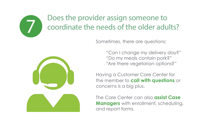### Does the provider assign someone to coordinate the needs of the older adults?





7

"Can I change my delivery day?" "Do my meals contain pork?" "Are there vegetarian options?"

Having a Customer Care Center for the member to **call with questions** or concerns is a big plus.

The Care Center can also **assist Case Managers** with enrollment, scheduling, and report forms.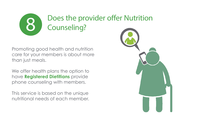

Promoting good health and nutrition care for your members is about more than just meals.

We offer health plans the option to have **Registered Dietitians** provide phone counseling with members.

This service is based on the unique nutritional needs of each member.

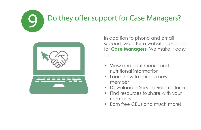## Do they offer support for Case Managers?



9

In addition to phone and email support, we offer a website designed for **Case Managers**! We make it easy to:

- View and print menus and nutritional information
- Learn how to enroll a new member
- Download a Service Referral form
- Find resources to share with your members
- Earn free CEUs and much more!